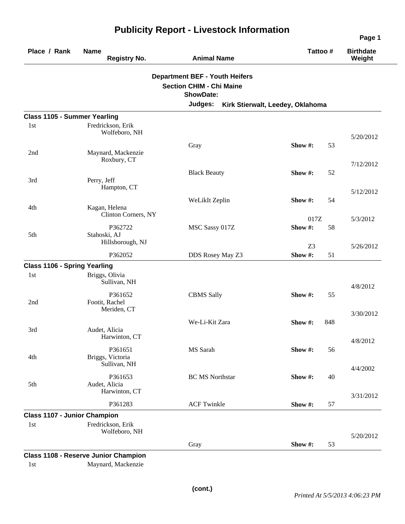| Place / Rank                        | <b>Name</b><br><b>Registry No.</b>             | <b>Animal Name</b>                                                                                      | Tattoo #                         | <b>Birthdate</b><br>Weight |
|-------------------------------------|------------------------------------------------|---------------------------------------------------------------------------------------------------------|----------------------------------|----------------------------|
|                                     |                                                | <b>Department BEF - Youth Heifers</b><br><b>Section CHIM - Chi Maine</b><br><b>ShowDate:</b><br>Judges: | Kirk Stierwalt, Leedey, Oklahoma |                            |
| <b>Class 1105 - Summer Yearling</b> |                                                |                                                                                                         |                                  |                            |
| 1st                                 | Fredrickson, Erik<br>Wolfeboro, NH             |                                                                                                         |                                  | 5/20/2012                  |
| 2nd                                 | Maynard, Mackenzie<br>Roxbury, CT              | Gray                                                                                                    | Show #:<br>53                    | 7/12/2012                  |
| 3rd                                 | Perry, Jeff<br>Hampton, CT                     | <b>Black Beauty</b>                                                                                     | Show #:<br>52                    |                            |
| 4th                                 | Kagan, Helena                                  | WeLikIt Zeplin                                                                                          | Show #:<br>54                    | 5/12/2012                  |
| 5th                                 | Clinton Corners, NY<br>P362722<br>Stahoski, AJ | MSC Sassy 017Z                                                                                          | 017Z<br>Show #:<br>58            | 5/3/2012                   |
|                                     | Hillsborough, NJ<br>P362052                    | DDS Rosey May Z3                                                                                        | Z <sub>3</sub><br>Show #:<br>51  | 5/26/2012                  |
| <b>Class 1106 - Spring Yearling</b> |                                                |                                                                                                         |                                  |                            |
| 1st                                 | Briggs, Olivia<br>Sullivan, NH                 |                                                                                                         |                                  | 4/8/2012                   |
| 2nd                                 | P361652<br>Footit, Rachel<br>Meriden, CT       | <b>CBMS Sally</b>                                                                                       | Show #:<br>55                    |                            |
| 3rd                                 | Audet, Alicia<br>Harwinton, CT                 | We-Li-Kit Zara                                                                                          | Show #:<br>848                   | 3/30/2012                  |
| 4th                                 | P361651<br>Briggs, Victoria                    | MS Sarah                                                                                                | Show #:<br>56                    | 4/8/2012                   |
| 5th                                 | Sullivan, NH<br>P361653<br>Audet, Alicia       | <b>BC MS Northstar</b>                                                                                  | Show #:<br>40                    | 4/4/2002                   |
|                                     | Harwinton, CT<br>P361283                       | <b>ACF Twinkle</b>                                                                                      | Show #:<br>57                    | 3/31/2012                  |
| <b>Class 1107 - Junior Champion</b> |                                                |                                                                                                         |                                  |                            |
| 1st                                 | Fredrickson, Erik<br>Wolfeboro, NH             |                                                                                                         |                                  | 5/20/2012                  |
|                                     | <b>Class 1108 - Reserve Junior Champion</b>    | Gray                                                                                                    | Show#:<br>53                     |                            |

## **Publicity Report - Livestock Information**

**Class 1108 - Reserve Junior Champion**  1st Maynard, Mackenzie

**Page 1**